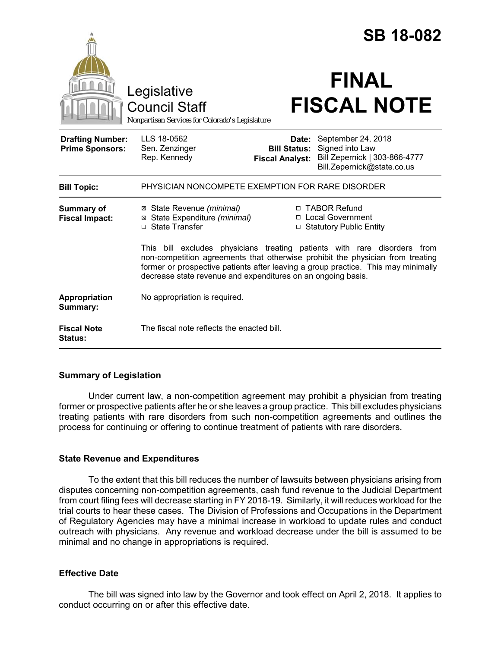|                                                   |                                                                                                                                                                                                                                                                                                                 |                                                        | <b>SB 18-082</b>                                                                                     |  |
|---------------------------------------------------|-----------------------------------------------------------------------------------------------------------------------------------------------------------------------------------------------------------------------------------------------------------------------------------------------------------------|--------------------------------------------------------|------------------------------------------------------------------------------------------------------|--|
|                                                   | Legislative<br><b>Council Staff</b><br>Nonpartisan Services for Colorado's Legislature                                                                                                                                                                                                                          |                                                        | <b>FINAL</b><br><b>FISCAL NOTE</b>                                                                   |  |
| <b>Drafting Number:</b><br><b>Prime Sponsors:</b> | LLS 18-0562<br>Sen. Zenzinger<br>Rep. Kennedy                                                                                                                                                                                                                                                                   | Date:<br><b>Bill Status:</b><br><b>Fiscal Analyst:</b> | September 24, 2018<br>Signed into Law<br>Bill Zepernick   303-866-4777<br>Bill.Zepernick@state.co.us |  |
| <b>Bill Topic:</b>                                | PHYSICIAN NONCOMPETE EXEMPTION FOR RARE DISORDER                                                                                                                                                                                                                                                                |                                                        |                                                                                                      |  |
| <b>Summary of</b><br><b>Fiscal Impact:</b>        | ⊠ State Revenue (minimal)<br>⊠ State Expenditure (minimal)<br>□ State Transfer                                                                                                                                                                                                                                  |                                                        | □ TABOR Refund<br>□ Local Government<br>□ Statutory Public Entity                                    |  |
|                                                   | This bill excludes physicians treating patients with rare disorders from<br>non-competition agreements that otherwise prohibit the physician from treating<br>former or prospective patients after leaving a group practice. This may minimally<br>decrease state revenue and expenditures on an ongoing basis. |                                                        |                                                                                                      |  |
| Appropriation<br>Summary:                         | No appropriation is required.                                                                                                                                                                                                                                                                                   |                                                        |                                                                                                      |  |
| <b>Fiscal Note</b><br><b>Status:</b>              | The fiscal note reflects the enacted bill.                                                                                                                                                                                                                                                                      |                                                        |                                                                                                      |  |

## **Summary of Legislation**

Under current law, a non-competition agreement may prohibit a physician from treating former or prospective patients after he or she leaves a group practice. This bill excludes physicians treating patients with rare disorders from such non-competition agreements and outlines the process for continuing or offering to continue treatment of patients with rare disorders.

#### **State Revenue and Expenditures**

To the extent that this bill reduces the number of lawsuits between physicians arising from disputes concerning non-competition agreements, cash fund revenue to the Judicial Department from court filing fees will decrease starting in FY 2018-19. Similarly, it will reduces workload for the trial courts to hear these cases. The Division of Professions and Occupations in the Department of Regulatory Agencies may have a minimal increase in workload to update rules and conduct outreach with physicians. Any revenue and workload decrease under the bill is assumed to be minimal and no change in appropriations is required.

#### **Effective Date**

The bill was signed into law by the Governor and took effect on April 2, 2018. It applies to conduct occurring on or after this effective date.